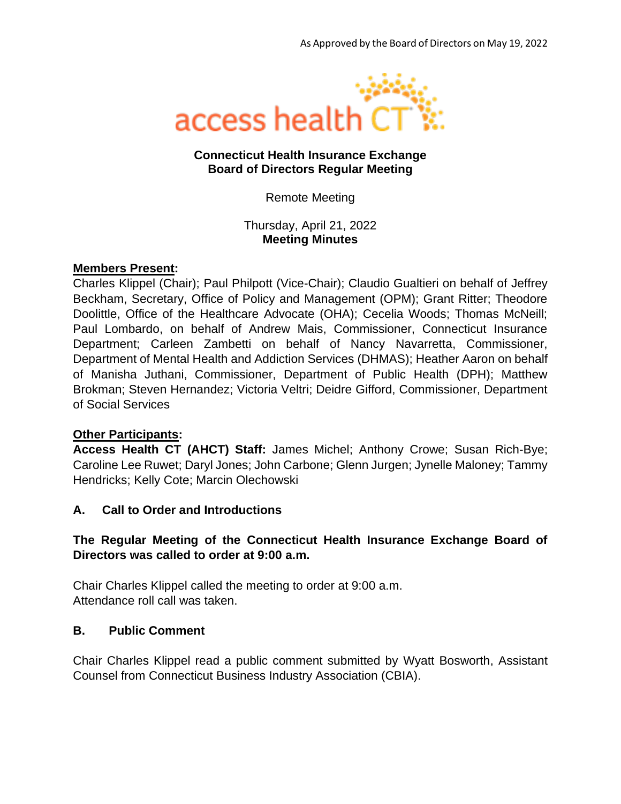

### **Connecticut Health Insurance Exchange Board of Directors Regular Meeting**

Remote Meeting

Thursday, April 21, 2022 **Meeting Minutes**

### **Members Present:**

Charles Klippel (Chair); Paul Philpott (Vice-Chair); Claudio Gualtieri on behalf of Jeffrey Beckham, Secretary, Office of Policy and Management (OPM); Grant Ritter; Theodore Doolittle, Office of the Healthcare Advocate (OHA); Cecelia Woods; Thomas McNeill; Paul Lombardo, on behalf of Andrew Mais, Commissioner, Connecticut Insurance Department; Carleen Zambetti on behalf of Nancy Navarretta, Commissioner, Department of Mental Health and Addiction Services (DHMAS); Heather Aaron on behalf of Manisha Juthani, Commissioner, Department of Public Health (DPH); Matthew Brokman; Steven Hernandez; Victoria Veltri; Deidre Gifford, Commissioner, Department of Social Services

### **Other Participants:**

**Access Health CT (AHCT) Staff:** James Michel; Anthony Crowe; Susan Rich-Bye; Caroline Lee Ruwet; Daryl Jones; John Carbone; Glenn Jurgen; Jynelle Maloney; Tammy Hendricks; Kelly Cote; Marcin Olechowski

### **A. Call to Order and Introductions**

## **The Regular Meeting of the Connecticut Health Insurance Exchange Board of Directors was called to order at 9:00 a.m.**

Chair Charles Klippel called the meeting to order at 9:00 a.m. Attendance roll call was taken.

### **B. Public Comment**

Chair Charles Klippel read a public comment submitted by Wyatt Bosworth, Assistant Counsel from Connecticut Business Industry Association (CBIA).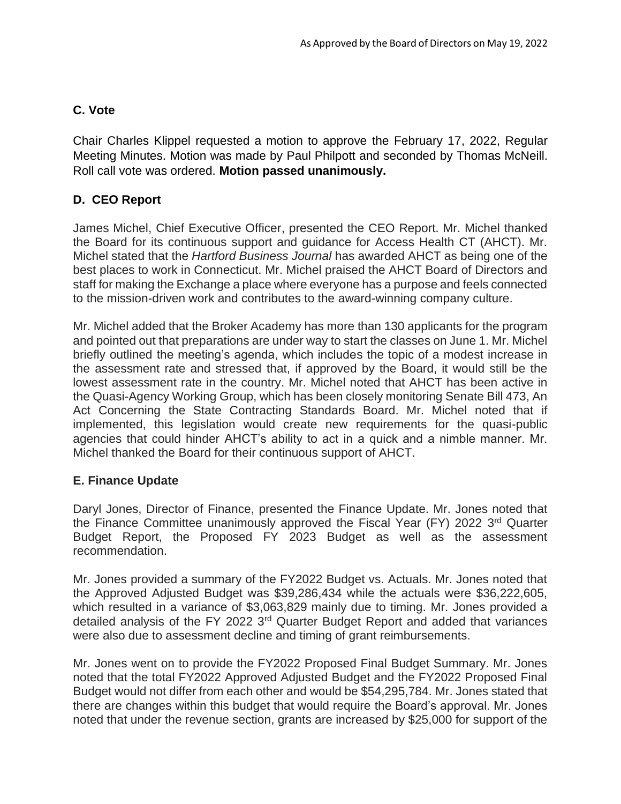# **C. Vote**

Chair Charles Klippel requested a motion to approve the February 17, 2022, Regular Meeting Minutes. Motion was made by Paul Philpott and seconded by Thomas McNeill. Roll call vote was ordered. **Motion passed unanimously.**

# **D. CEO Report**

James Michel, Chief Executive Officer, presented the CEO Report. Mr. Michel thanked the Board for its continuous support and guidance for Access Health CT (AHCT). Mr. Michel stated that the *Hartford Business Journal* has awarded AHCT as being one of the best places to work in Connecticut. Mr. Michel praised the AHCT Board of Directors and staff for making the Exchange a place where everyone has a purpose and feels connected to the mission-driven work and contributes to the award-winning company culture.

Mr. Michel added that the Broker Academy has more than 130 applicants for the program and pointed out that preparations are under way to start the classes on June 1. Mr. Michel briefly outlined the meeting's agenda, which includes the topic of a modest increase in the assessment rate and stressed that, if approved by the Board, it would still be the lowest assessment rate in the country. Mr. Michel noted that AHCT has been active in the Quasi-Agency Working Group, which has been closely monitoring Senate Bill 473, An Act Concerning the State Contracting Standards Board. Mr. Michel noted that if implemented, this legislation would create new requirements for the quasi-public agencies that could hinder AHCT's ability to act in a quick and a nimble manner. Mr. Michel thanked the Board for their continuous support of AHCT.

## **E. Finance Update**

Daryl Jones, Director of Finance, presented the Finance Update. Mr. Jones noted that the Finance Committee unanimously approved the Fiscal Year (FY) 2022 3rd Quarter Budget Report, the Proposed FY 2023 Budget as well as the assessment recommendation.

Mr. Jones provided a summary of the FY2022 Budget vs. Actuals. Mr. Jones noted that the Approved Adjusted Budget was \$39,286,434 while the actuals were \$36,222,605, which resulted in a variance of \$3,063,829 mainly due to timing. Mr. Jones provided a detailed analysis of the FY 2022 3rd Quarter Budget Report and added that variances were also due to assessment decline and timing of grant reimbursements.

Mr. Jones went on to provide the FY2022 Proposed Final Budget Summary. Mr. Jones noted that the total FY2022 Approved Adjusted Budget and the FY2022 Proposed Final Budget would not differ from each other and would be \$54,295,784. Mr. Jones stated that there are changes within this budget that would require the Board's approval. Mr. Jones noted that under the revenue section, grants are increased by \$25,000 for support of the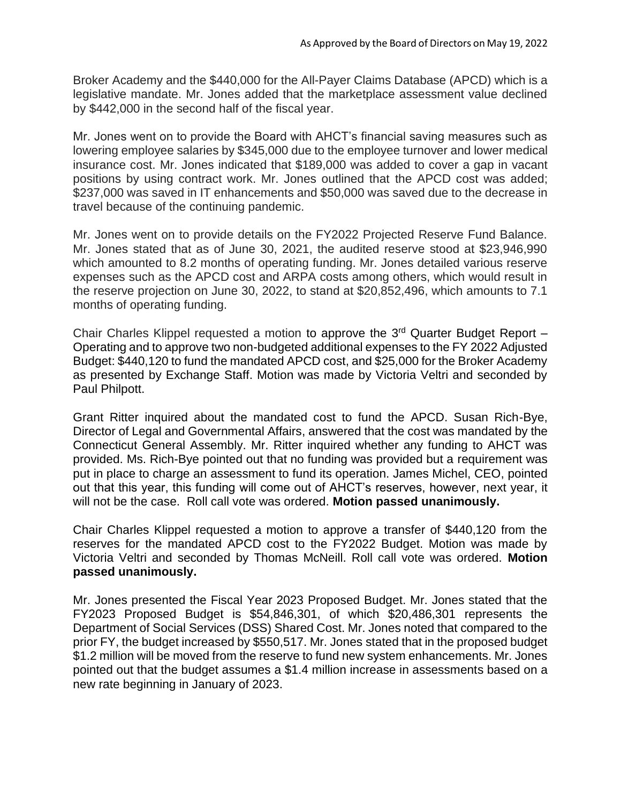Broker Academy and the \$440,000 for the All-Payer Claims Database (APCD) which is a legislative mandate. Mr. Jones added that the marketplace assessment value declined by \$442,000 in the second half of the fiscal year.

Mr. Jones went on to provide the Board with AHCT's financial saving measures such as lowering employee salaries by \$345,000 due to the employee turnover and lower medical insurance cost. Mr. Jones indicated that \$189,000 was added to cover a gap in vacant positions by using contract work. Mr. Jones outlined that the APCD cost was added; \$237,000 was saved in IT enhancements and \$50,000 was saved due to the decrease in travel because of the continuing pandemic.

Mr. Jones went on to provide details on the FY2022 Projected Reserve Fund Balance. Mr. Jones stated that as of June 30, 2021, the audited reserve stood at \$23,946,990 which amounted to 8.2 months of operating funding. Mr. Jones detailed various reserve expenses such as the APCD cost and ARPA costs among others, which would result in the reserve projection on June 30, 2022, to stand at \$20,852,496, which amounts to 7.1 months of operating funding.

Chair Charles Klippel requested a motion to approve the 3rd Quarter Budget Report – Operating and to approve two non-budgeted additional expenses to the FY 2022 Adjusted Budget: \$440,120 to fund the mandated APCD cost, and \$25,000 for the Broker Academy as presented by Exchange Staff. Motion was made by Victoria Veltri and seconded by Paul Philpott.

Grant Ritter inquired about the mandated cost to fund the APCD. Susan Rich-Bye, Director of Legal and Governmental Affairs, answered that the cost was mandated by the Connecticut General Assembly. Mr. Ritter inquired whether any funding to AHCT was provided. Ms. Rich-Bye pointed out that no funding was provided but a requirement was put in place to charge an assessment to fund its operation. James Michel, CEO, pointed out that this year, this funding will come out of AHCT's reserves, however, next year, it will not be the case. Roll call vote was ordered. **Motion passed unanimously.** 

Chair Charles Klippel requested a motion to approve a transfer of \$440,120 from the reserves for the mandated APCD cost to the FY2022 Budget. Motion was made by Victoria Veltri and seconded by Thomas McNeill. Roll call vote was ordered. **Motion passed unanimously.**

Mr. Jones presented the Fiscal Year 2023 Proposed Budget. Mr. Jones stated that the FY2023 Proposed Budget is \$54,846,301, of which \$20,486,301 represents the Department of Social Services (DSS) Shared Cost. Mr. Jones noted that compared to the prior FY, the budget increased by \$550,517. Mr. Jones stated that in the proposed budget \$1.2 million will be moved from the reserve to fund new system enhancements. Mr. Jones pointed out that the budget assumes a \$1.4 million increase in assessments based on a new rate beginning in January of 2023.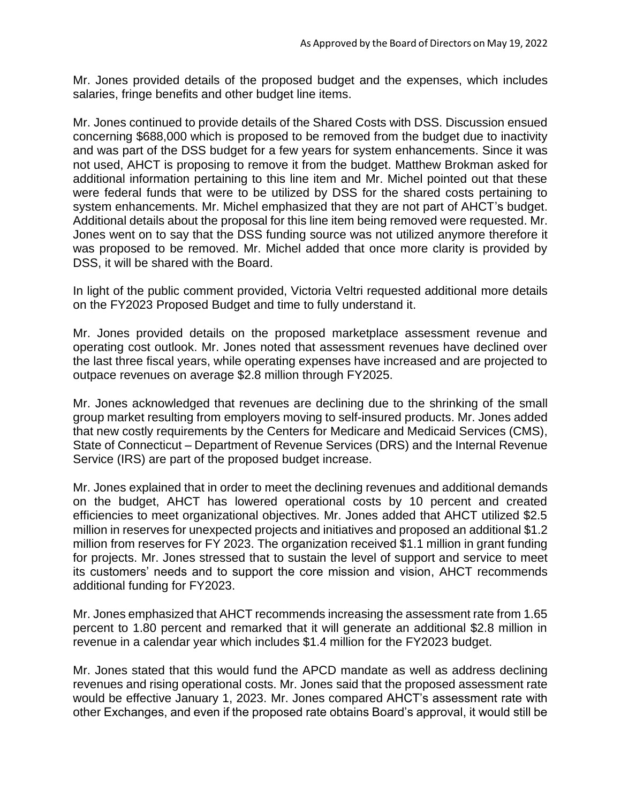Mr. Jones provided details of the proposed budget and the expenses, which includes salaries, fringe benefits and other budget line items.

Mr. Jones continued to provide details of the Shared Costs with DSS. Discussion ensued concerning \$688,000 which is proposed to be removed from the budget due to inactivity and was part of the DSS budget for a few years for system enhancements. Since it was not used, AHCT is proposing to remove it from the budget. Matthew Brokman asked for additional information pertaining to this line item and Mr. Michel pointed out that these were federal funds that were to be utilized by DSS for the shared costs pertaining to system enhancements. Mr. Michel emphasized that they are not part of AHCT's budget. Additional details about the proposal for this line item being removed were requested. Mr. Jones went on to say that the DSS funding source was not utilized anymore therefore it was proposed to be removed. Mr. Michel added that once more clarity is provided by DSS, it will be shared with the Board.

In light of the public comment provided, Victoria Veltri requested additional more details on the FY2023 Proposed Budget and time to fully understand it.

Mr. Jones provided details on the proposed marketplace assessment revenue and operating cost outlook. Mr. Jones noted that assessment revenues have declined over the last three fiscal years, while operating expenses have increased and are projected to outpace revenues on average \$2.8 million through FY2025.

Mr. Jones acknowledged that revenues are declining due to the shrinking of the small group market resulting from employers moving to self-insured products. Mr. Jones added that new costly requirements by the Centers for Medicare and Medicaid Services (CMS), State of Connecticut – Department of Revenue Services (DRS) and the Internal Revenue Service (IRS) are part of the proposed budget increase.

Mr. Jones explained that in order to meet the declining revenues and additional demands on the budget, AHCT has lowered operational costs by 10 percent and created efficiencies to meet organizational objectives. Mr. Jones added that AHCT utilized \$2.5 million in reserves for unexpected projects and initiatives and proposed an additional \$1.2 million from reserves for FY 2023. The organization received \$1.1 million in grant funding for projects. Mr. Jones stressed that to sustain the level of support and service to meet its customers' needs and to support the core mission and vision, AHCT recommends additional funding for FY2023.

Mr. Jones emphasized that AHCT recommends increasing the assessment rate from 1.65 percent to 1.80 percent and remarked that it will generate an additional \$2.8 million in revenue in a calendar year which includes \$1.4 million for the FY2023 budget.

Mr. Jones stated that this would fund the APCD mandate as well as address declining revenues and rising operational costs. Mr. Jones said that the proposed assessment rate would be effective January 1, 2023. Mr. Jones compared AHCT's assessment rate with other Exchanges, and even if the proposed rate obtains Board's approval, it would still be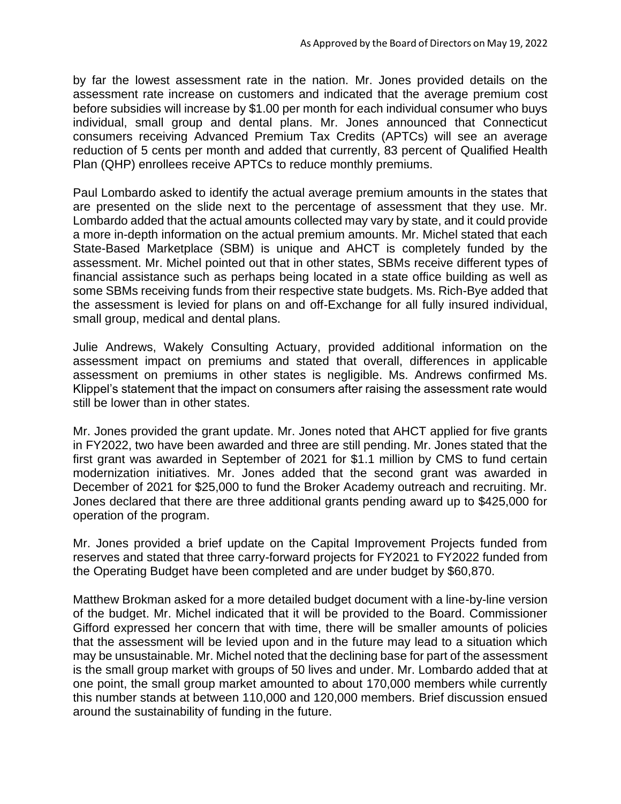by far the lowest assessment rate in the nation. Mr. Jones provided details on the assessment rate increase on customers and indicated that the average premium cost before subsidies will increase by \$1.00 per month for each individual consumer who buys individual, small group and dental plans. Mr. Jones announced that Connecticut consumers receiving Advanced Premium Tax Credits (APTCs) will see an average reduction of 5 cents per month and added that currently, 83 percent of Qualified Health Plan (QHP) enrollees receive APTCs to reduce monthly premiums.

Paul Lombardo asked to identify the actual average premium amounts in the states that are presented on the slide next to the percentage of assessment that they use. Mr. Lombardo added that the actual amounts collected may vary by state, and it could provide a more in-depth information on the actual premium amounts. Mr. Michel stated that each State-Based Marketplace (SBM) is unique and AHCT is completely funded by the assessment. Mr. Michel pointed out that in other states, SBMs receive different types of financial assistance such as perhaps being located in a state office building as well as some SBMs receiving funds from their respective state budgets. Ms. Rich-Bye added that the assessment is levied for plans on and off-Exchange for all fully insured individual, small group, medical and dental plans.

Julie Andrews, Wakely Consulting Actuary, provided additional information on the assessment impact on premiums and stated that overall, differences in applicable assessment on premiums in other states is negligible. Ms. Andrews confirmed Ms. Klippel's statement that the impact on consumers after raising the assessment rate would still be lower than in other states.

Mr. Jones provided the grant update. Mr. Jones noted that AHCT applied for five grants in FY2022, two have been awarded and three are still pending. Mr. Jones stated that the first grant was awarded in September of 2021 for \$1.1 million by CMS to fund certain modernization initiatives. Mr. Jones added that the second grant was awarded in December of 2021 for \$25,000 to fund the Broker Academy outreach and recruiting. Mr. Jones declared that there are three additional grants pending award up to \$425,000 for operation of the program.

Mr. Jones provided a brief update on the Capital Improvement Projects funded from reserves and stated that three carry-forward projects for FY2021 to FY2022 funded from the Operating Budget have been completed and are under budget by \$60,870.

Matthew Brokman asked for a more detailed budget document with a line-by-line version of the budget. Mr. Michel indicated that it will be provided to the Board. Commissioner Gifford expressed her concern that with time, there will be smaller amounts of policies that the assessment will be levied upon and in the future may lead to a situation which may be unsustainable. Mr. Michel noted that the declining base for part of the assessment is the small group market with groups of 50 lives and under. Mr. Lombardo added that at one point, the small group market amounted to about 170,000 members while currently this number stands at between 110,000 and 120,000 members. Brief discussion ensued around the sustainability of funding in the future.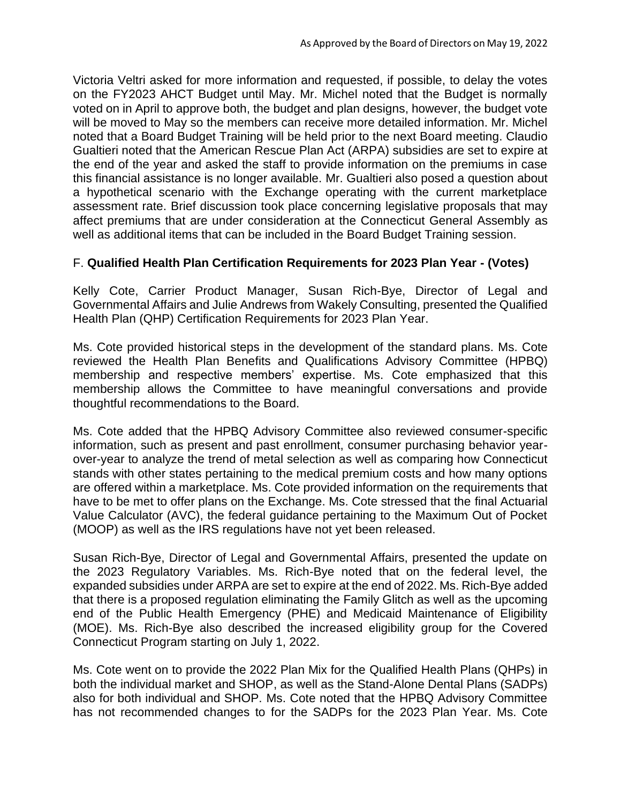Victoria Veltri asked for more information and requested, if possible, to delay the votes on the FY2023 AHCT Budget until May. Mr. Michel noted that the Budget is normally voted on in April to approve both, the budget and plan designs, however, the budget vote will be moved to May so the members can receive more detailed information. Mr. Michel noted that a Board Budget Training will be held prior to the next Board meeting. Claudio Gualtieri noted that the American Rescue Plan Act (ARPA) subsidies are set to expire at the end of the year and asked the staff to provide information on the premiums in case this financial assistance is no longer available. Mr. Gualtieri also posed a question about a hypothetical scenario with the Exchange operating with the current marketplace assessment rate. Brief discussion took place concerning legislative proposals that may affect premiums that are under consideration at the Connecticut General Assembly as well as additional items that can be included in the Board Budget Training session.

## F. **Qualified Health Plan Certification Requirements for 2023 Plan Year - (Votes)**

Kelly Cote, Carrier Product Manager, Susan Rich-Bye, Director of Legal and Governmental Affairs and Julie Andrews from Wakely Consulting, presented the Qualified Health Plan (QHP) Certification Requirements for 2023 Plan Year.

Ms. Cote provided historical steps in the development of the standard plans. Ms. Cote reviewed the Health Plan Benefits and Qualifications Advisory Committee (HPBQ) membership and respective members' expertise. Ms. Cote emphasized that this membership allows the Committee to have meaningful conversations and provide thoughtful recommendations to the Board.

Ms. Cote added that the HPBQ Advisory Committee also reviewed consumer-specific information, such as present and past enrollment, consumer purchasing behavior yearover-year to analyze the trend of metal selection as well as comparing how Connecticut stands with other states pertaining to the medical premium costs and how many options are offered within a marketplace. Ms. Cote provided information on the requirements that have to be met to offer plans on the Exchange. Ms. Cote stressed that the final Actuarial Value Calculator (AVC), the federal guidance pertaining to the Maximum Out of Pocket (MOOP) as well as the IRS regulations have not yet been released.

Susan Rich-Bye, Director of Legal and Governmental Affairs, presented the update on the 2023 Regulatory Variables. Ms. Rich-Bye noted that on the federal level, the expanded subsidies under ARPA are set to expire at the end of 2022. Ms. Rich-Bye added that there is a proposed regulation eliminating the Family Glitch as well as the upcoming end of the Public Health Emergency (PHE) and Medicaid Maintenance of Eligibility (MOE). Ms. Rich-Bye also described the increased eligibility group for the Covered Connecticut Program starting on July 1, 2022.

Ms. Cote went on to provide the 2022 Plan Mix for the Qualified Health Plans (QHPs) in both the individual market and SHOP, as well as the Stand-Alone Dental Plans (SADPs) also for both individual and SHOP. Ms. Cote noted that the HPBQ Advisory Committee has not recommended changes to for the SADPs for the 2023 Plan Year. Ms. Cote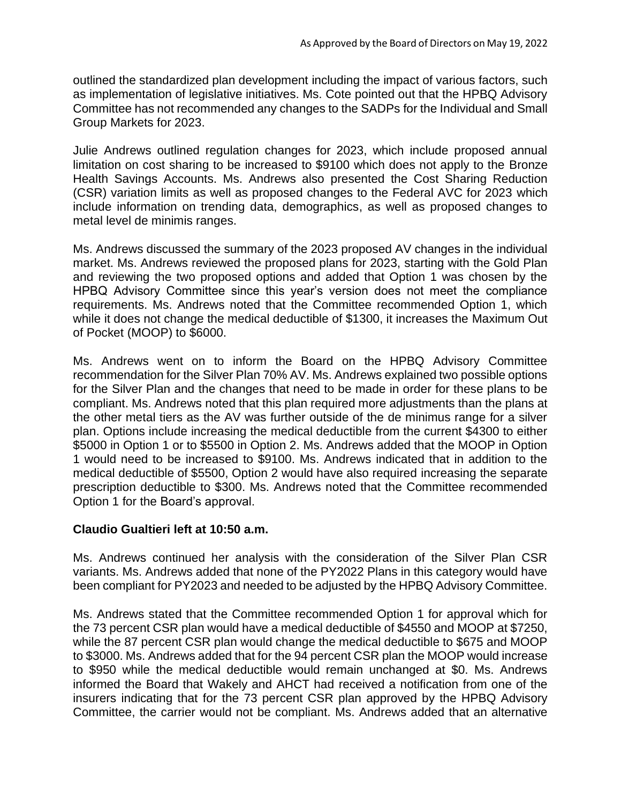outlined the standardized plan development including the impact of various factors, such as implementation of legislative initiatives. Ms. Cote pointed out that the HPBQ Advisory Committee has not recommended any changes to the SADPs for the Individual and Small Group Markets for 2023.

Julie Andrews outlined regulation changes for 2023, which include proposed annual limitation on cost sharing to be increased to \$9100 which does not apply to the Bronze Health Savings Accounts. Ms. Andrews also presented the Cost Sharing Reduction (CSR) variation limits as well as proposed changes to the Federal AVC for 2023 which include information on trending data, demographics, as well as proposed changes to metal level de minimis ranges.

Ms. Andrews discussed the summary of the 2023 proposed AV changes in the individual market. Ms. Andrews reviewed the proposed plans for 2023, starting with the Gold Plan and reviewing the two proposed options and added that Option 1 was chosen by the HPBQ Advisory Committee since this year's version does not meet the compliance requirements. Ms. Andrews noted that the Committee recommended Option 1, which while it does not change the medical deductible of \$1300, it increases the Maximum Out of Pocket (MOOP) to \$6000.

Ms. Andrews went on to inform the Board on the HPBQ Advisory Committee recommendation for the Silver Plan 70% AV. Ms. Andrews explained two possible options for the Silver Plan and the changes that need to be made in order for these plans to be compliant. Ms. Andrews noted that this plan required more adjustments than the plans at the other metal tiers as the AV was further outside of the de minimus range for a silver plan. Options include increasing the medical deductible from the current \$4300 to either \$5000 in Option 1 or to \$5500 in Option 2. Ms. Andrews added that the MOOP in Option 1 would need to be increased to \$9100. Ms. Andrews indicated that in addition to the medical deductible of \$5500, Option 2 would have also required increasing the separate prescription deductible to \$300. Ms. Andrews noted that the Committee recommended Option 1 for the Board's approval.

### **Claudio Gualtieri left at 10:50 a.m.**

Ms. Andrews continued her analysis with the consideration of the Silver Plan CSR variants. Ms. Andrews added that none of the PY2022 Plans in this category would have been compliant for PY2023 and needed to be adjusted by the HPBQ Advisory Committee.

Ms. Andrews stated that the Committee recommended Option 1 for approval which for the 73 percent CSR plan would have a medical deductible of \$4550 and MOOP at \$7250, while the 87 percent CSR plan would change the medical deductible to \$675 and MOOP to \$3000. Ms. Andrews added that for the 94 percent CSR plan the MOOP would increase to \$950 while the medical deductible would remain unchanged at \$0. Ms. Andrews informed the Board that Wakely and AHCT had received a notification from one of the insurers indicating that for the 73 percent CSR plan approved by the HPBQ Advisory Committee, the carrier would not be compliant. Ms. Andrews added that an alternative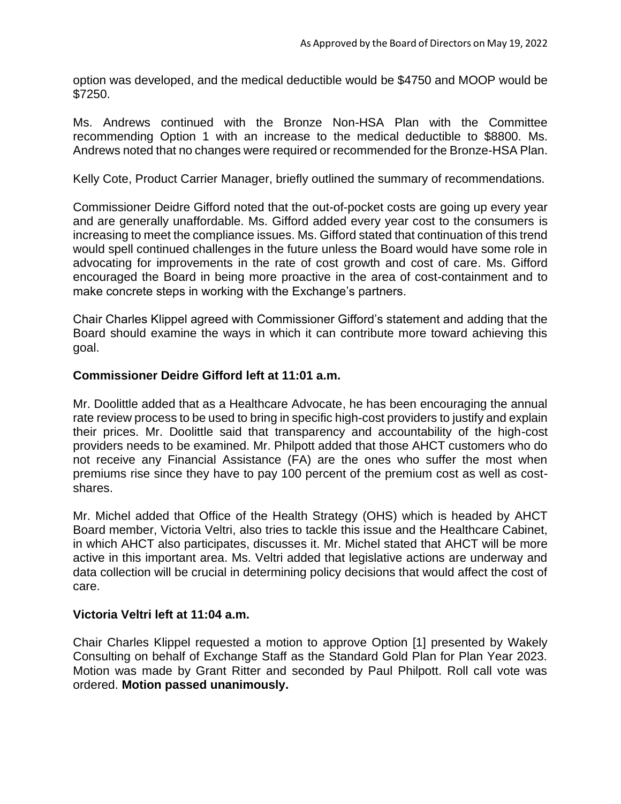option was developed, and the medical deductible would be \$4750 and MOOP would be \$7250.

Ms. Andrews continued with the Bronze Non-HSA Plan with the Committee recommending Option 1 with an increase to the medical deductible to \$8800. Ms. Andrews noted that no changes were required or recommended for the Bronze-HSA Plan.

Kelly Cote, Product Carrier Manager, briefly outlined the summary of recommendations.

Commissioner Deidre Gifford noted that the out-of-pocket costs are going up every year and are generally unaffordable. Ms. Gifford added every year cost to the consumers is increasing to meet the compliance issues. Ms. Gifford stated that continuation of this trend would spell continued challenges in the future unless the Board would have some role in advocating for improvements in the rate of cost growth and cost of care. Ms. Gifford encouraged the Board in being more proactive in the area of cost-containment and to make concrete steps in working with the Exchange's partners.

Chair Charles Klippel agreed with Commissioner Gifford's statement and adding that the Board should examine the ways in which it can contribute more toward achieving this goal.

### **Commissioner Deidre Gifford left at 11:01 a.m.**

Mr. Doolittle added that as a Healthcare Advocate, he has been encouraging the annual rate review process to be used to bring in specific high-cost providers to justify and explain their prices. Mr. Doolittle said that transparency and accountability of the high-cost providers needs to be examined. Mr. Philpott added that those AHCT customers who do not receive any Financial Assistance (FA) are the ones who suffer the most when premiums rise since they have to pay 100 percent of the premium cost as well as costshares.

Mr. Michel added that Office of the Health Strategy (OHS) which is headed by AHCT Board member, Victoria Veltri, also tries to tackle this issue and the Healthcare Cabinet, in which AHCT also participates, discusses it. Mr. Michel stated that AHCT will be more active in this important area. Ms. Veltri added that legislative actions are underway and data collection will be crucial in determining policy decisions that would affect the cost of care.

#### **Victoria Veltri left at 11:04 a.m.**

Chair Charles Klippel requested a motion to approve Option [1] presented by Wakely Consulting on behalf of Exchange Staff as the Standard Gold Plan for Plan Year 2023. Motion was made by Grant Ritter and seconded by Paul Philpott. Roll call vote was ordered. **Motion passed unanimously.**